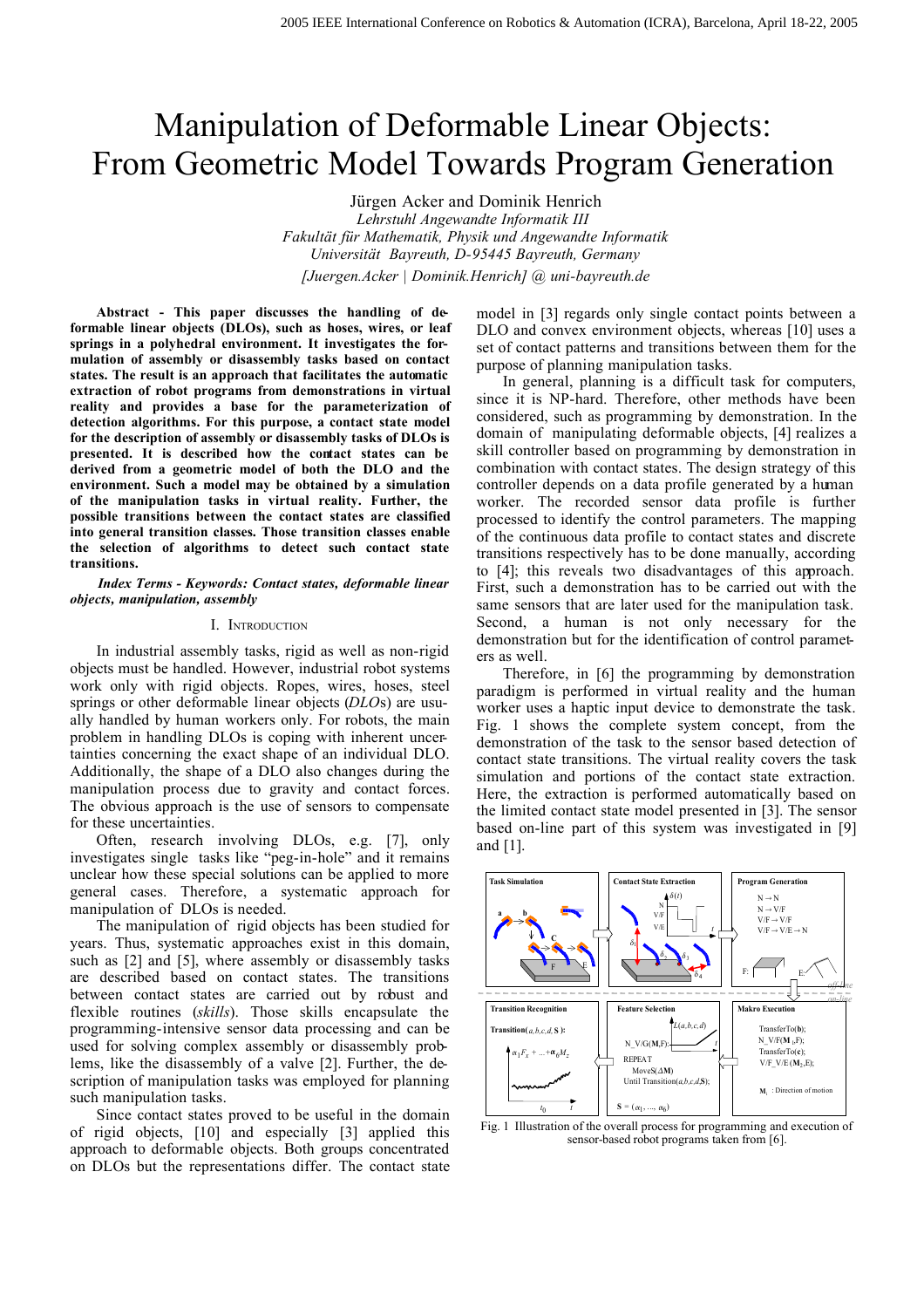# Manipulation of Deformable Linear Objects: From Geometric Model Towards Program Generation

Jürgen Acker and Dominik Henrich

*Lehrstuhl Angewandte Informatik III Fakultät für Mathematik, Physik und Angewandte Informatik Universität Bayreuth, D-95445 Bayreuth, Germany [Juergen.Acker | Dominik.Henrich] @ uni-bayreuth.de*

**Abstract - This paper discusses the handling of deformable linear objects (DLOs), such as hoses, wires, or leaf springs in a polyhedral environment. It investigates the formulation of assembly or disassembly tasks based on contact states. The result is an approach that facilitates the automatic extraction of robot programs from demonstrations in virtual reality and provides a base for the parameterization of detection algorithms. For this purpose, a contact state model for the description of assembly or disassembly tasks of DLOs is presented. It is described how the contact states can be derived from a geometric model of both the DLO and the environment. Such a model may be obtained by a simulation of the manipulation tasks in virtual reality. Further, the possible transitions between the contact states are classified into general transition classes. Those transition classes enable the selection of algorithms to detect such contact state transitions.** 

*Index Terms - Keywords: Contact states, deformable linear objects, manipulation, assembly*

#### I. INTRODUCTION

In industrial assembly tasks, rigid as well as non-rigid objects must be handled. However, industrial robot systems work only with rigid objects. Ropes, wires, hoses, steel springs or other deformable linear objects (*DLO*s) are usually handled by human workers only. For robots, the main problem in handling DLOs is coping with inherent uncertainties concerning the exact shape of an individual DLO. Additionally, the shape of a DLO also changes during the manipulation process due to gravity and contact forces. The obvious approach is the use of sensors to compensate for these uncertainties.

Often, research involving DLOs, e.g. [7], only investigates single tasks like "peg-in-hole" and it remains unclear how these special solutions can be applied to more general cases. Therefore, a systematic approach for manipulation of DLOs is needed.

The manipulation of rigid objects has been studied for years. Thus, systematic approaches exist in this domain, such as [2] and [5], where assembly or disassembly tasks are described based on contact states. The transitions between contact states are carried out by robust and flexible routines (*skills*). Those skills encapsulate the programming-intensive sensor data processing and can be used for solving complex assembly or disassembly problems, like the disassembly of a valve [2]. Further, the description of manipulation tasks was employed for planning such manipulation tasks.

Since contact states proved to be useful in the domain of rigid objects, [10] and especially [3] applied this approach to deformable objects. Both groups concentrated on DLOs but the representations differ. The contact state

model in [3] regards only single contact points between a DLO and convex environment objects, whereas [10] uses a set of contact patterns and transitions between them for the purpose of planning manipulation tasks.

In general, planning is a difficult task for computers, since it is NP-hard. Therefore, other methods have been considered, such as programming by demonstration. In the domain of manipulating deformable objects, [4] realizes a skill controller based on programming by demonstration in combination with contact states. The design strategy of this controller depends on a data profile generated by a human worker. The recorded sensor data profile is further processed to identify the control parameters. The mapping of the continuous data profile to contact states and discrete transitions respectively has to be done manually, according to [4]; this reveals two disadvantages of this approach. First, such a demonstration has to be carried out with the same sensors that are later used for the manipulation task. Second, a human is not only necessary for the demonstration but for the identification of control parameters as well.

Therefore, in [6] the programming by demonstration paradigm is performed in virtual reality and the human worker uses a haptic input device to demonstrate the task. Fig. 1 shows the complete system concept, from the demonstration of the task to the sensor based detection of contact state transitions. The virtual reality covers the task simulation and portions of the contact state extraction. Here, the extraction is performed automatically based on the limited contact state model presented in [3]. The sensor based on-line part of this system was investigated in [9] and [1].



Fig. 1 Illustration of the overall process for programming and execution of sensor-based robot programs taken from [6].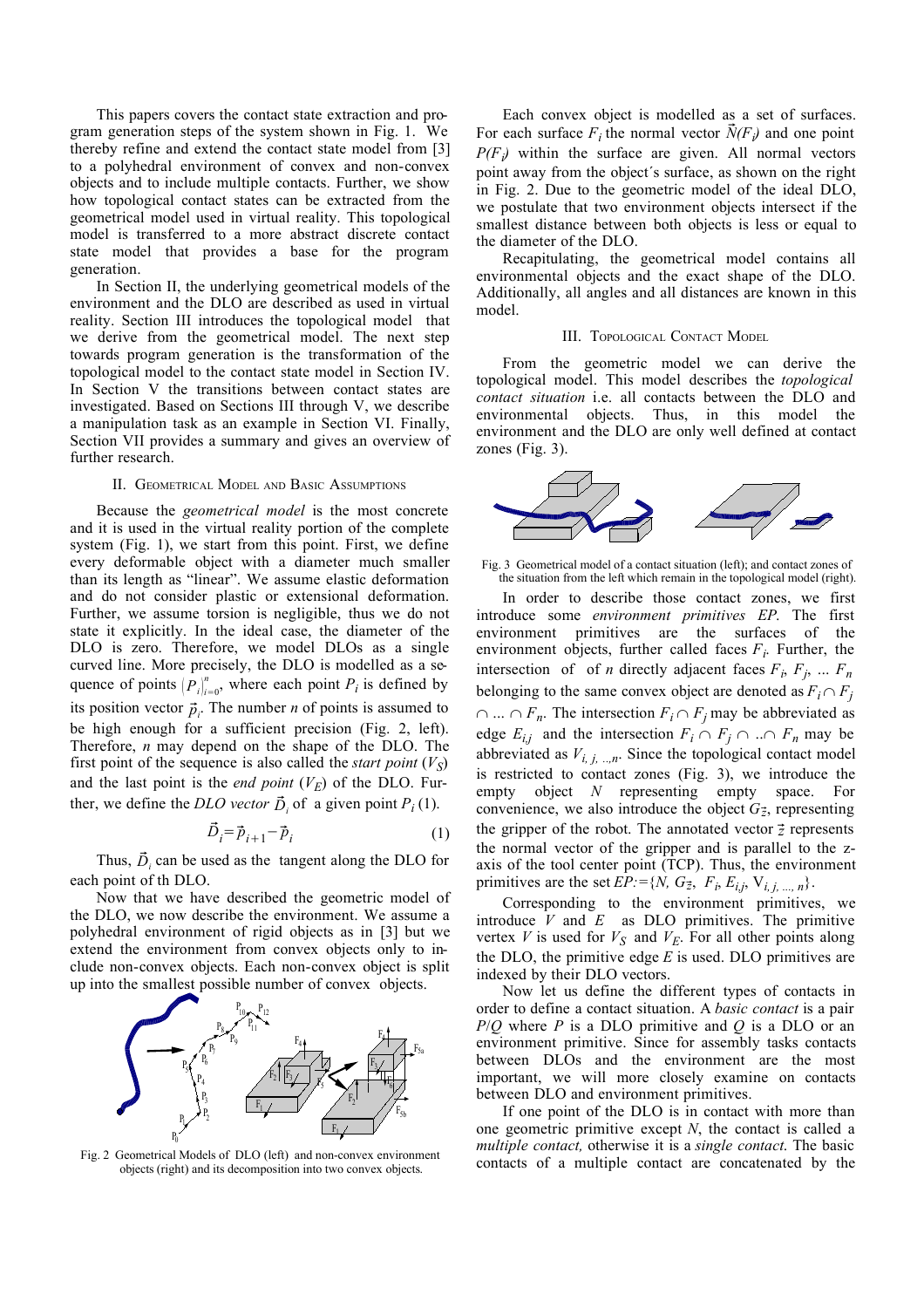This papers covers the contact state extraction and program generation steps of the system shown in Fig. 1. We thereby refine and extend the contact state model from [3] to a polyhedral environment of convex and non-convex objects and to include multiple contacts. Further, we show how topological contact states can be extracted from the geometrical model used in virtual reality. This topological model is transferred to a more abstract discrete contact state model that provides a base for the program generation.

In Section II, the underlying geometrical models of the environment and the DLO are described as used in virtual reality. Section III introduces the topological model that we derive from the geometrical model. The next step towards program generation is the transformation of the topological model to the contact state model in Section IV. In Section V the transitions between contact states are investigated. Based on Sections III through V, we describe a manipulation task as an example in Section VI. Finally, Section VII provides a summary and gives an overview of further research.

## II. GEOMETRICAL MODEL AND BASIC ASSUMPTIONS

Because the *geometrical model* is the most concrete and it is used in the virtual reality portion of the complete system (Fig. 1), we start from this point. First, we define every deformable object with a diameter much smaller than its length as "linear". We assume elastic deformation and do not consider plastic or extensional deformation. Further, we assume torsion is negligible, thus we do not state it explicitly. In the ideal case, the diameter of the DLO is zero. Therefore, we model DLOs as a single curved line. More precisely, the DLO is modelled as a sequence of points  $(P_i)_{i=0}^n$ , where each point  $P_i$  is defined by its position vector  $\vec{p}_i$ . The number *n* of points is assumed to be high enough for a sufficient precision (Fig. 2, left). Therefore, *n* may depend on the shape of the DLO. The first point of the sequence is also called the *start point* (*V<sup>S</sup>* ) and the last point is the *end point*  $(V_F)$  of the DLO. Further, we define the *DLO vector*  $\vec{D}_i$  of a given point  $P_i(1)$ .

$$
\vec{D}_i = \vec{p}_{i+1} - \vec{p}_i \tag{1}
$$

Thus,  $\vec{D}_i$  can be used as the tangent along the DLO for each point of th DLO.

Now that we have described the geometric model of the DLO, we now describe the environment. We assume a polyhedral environment of rigid objects as in [3] but we extend the environment from convex objects only to include non-convex objects. Each non-convex object is split up into the smallest possible number of convex objects.



Fig. 2 Geometrical Models of DLO (left) and non-convex environment objects (right) and its decomposition into two convex objects.

Each convex object is modelled as a set of surfaces. For each surface  $F_i$  the normal vector  $\vec{N}(F_i)$  and one point  $P(F_i)$  within the surface are given. All normal vectors point away from the object´s surface, as shown on the right in Fig. 2. Due to the geometric model of the ideal DLO, we postulate that two environment objects intersect if the smallest distance between both objects is less or equal to the diameter of the DLO.

Recapitulating, the geometrical model contains all environmental objects and the exact shape of the DLO. Additionally, all angles and all distances are known in this model.

## III. TOPOLOGICAL CONTACT MODEL

From the geometric model we can derive the topological model. This model describes the *topological contact situation* i.e. all contacts between the DLO and environmental objects. Thus, in this model the environment and the DLO are only well defined at contact zones (Fig. 3).



Fig. 3 Geometrical model of a contact situation (left); and contact zones of the situation from the left which remain in the topological model (right).

In order to describe those contact zones, we first introduce some *environment primitives EP*. The first environment primitives are the surfaces of the environment objects, further called faces  $F_i$ . Further, the intersection of of *n* directly adjacent faces  $F_i$ ,  $F_j$ , ...  $F_n$ belonging to the same convex object are denoted as  $F_i \cap F_j$  $\cap$  ...  $\cap$   $F_n$ . The intersection  $F_i \cap F_j$  may be abbreviated as edge  $E_{i,j}$  and the intersection  $F_i \cap F_j \cap ... \cap F_n$  may be abbreviated as  $V_{i,j,...,n}$ . Since the topological contact model is restricted to contact zones (Fig. 3), we introduce the empty object *N* representing empty space. For convenience, we also introduce the object  $G_{\vec{z}}$ , representing the gripper of the robot. The annotated vector  $\vec{z}$  represents the normal vector of the gripper and is parallel to the zaxis of the tool center point (TCP). Thus, the environment primitives are the set  $EP$ : ={*N,*  $G_{\vec{z}}$ ,  $F_i$ ,  $E_{i,j}$ ,  $V_{i,j,\dots,n}$ }.

Corresponding to the environment primitives, we introduce *V* and *E* as DLO primitives. The primitive vertex *V* is used for  $V_S$  and  $V_E$ . For all other points along the DLO, the primitive edge *E* is used. DLO primitives are indexed by their DLO vectors.

Now let us define the different types of contacts in order to define a contact situation. A *basic contact* is a pair *P*/*Q* where *P* is a DLO primitive and *Q* is a DLO or an environment primitive. Since for assembly tasks contacts between DLOs and the environment are the most important, we will more closely examine on contacts between DLO and environment primitives.

If one point of the DLO is in contact with more than one geometric primitive except *N*, the contact is called a *multiple contact,* otherwise it is a *single contact*. The basic contacts of a multiple contact are concatenated by the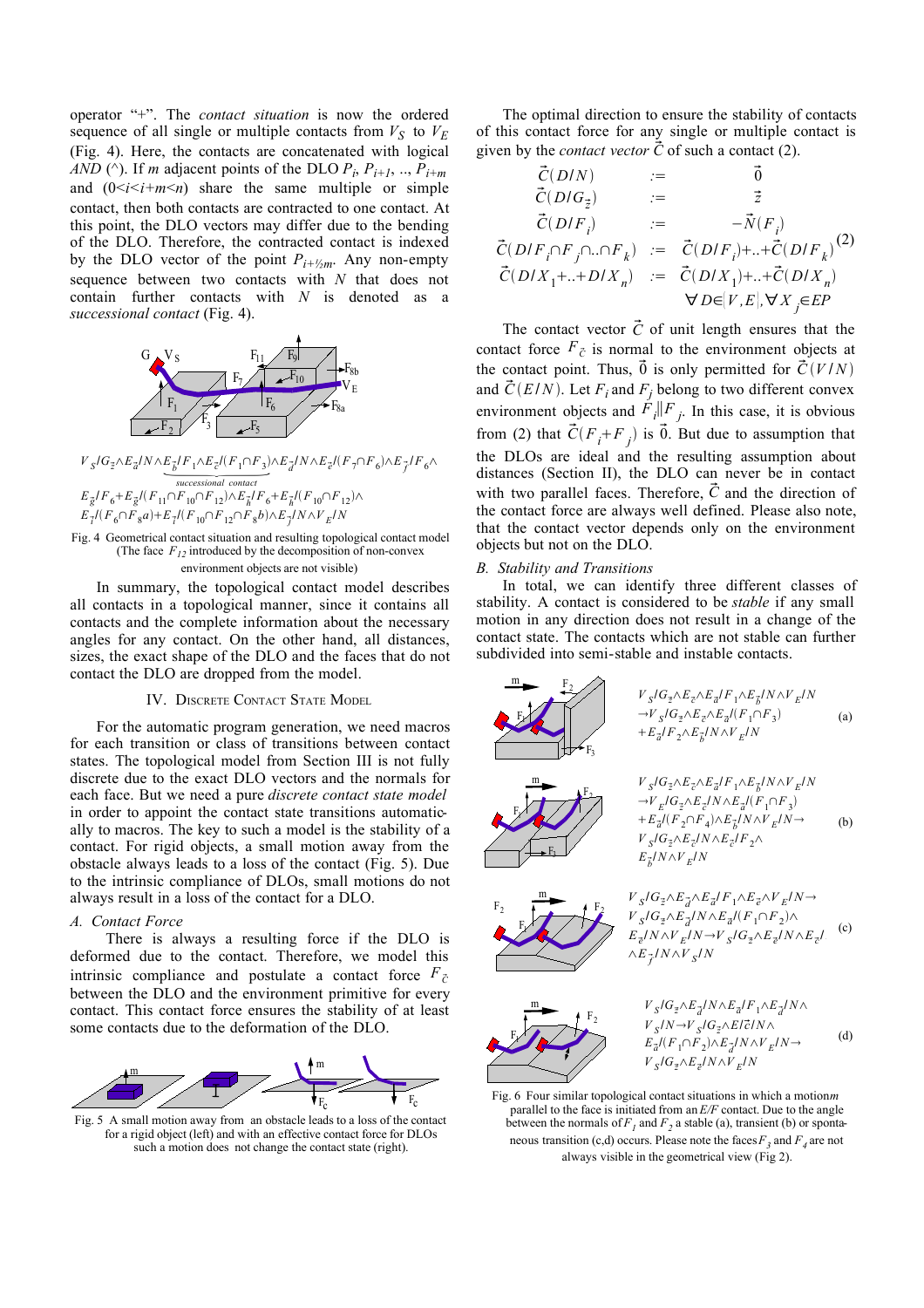operator "+". The *contact situation* is now the ordered sequence of all single or multiple contacts from  $V_S$  to  $V_E$ (Fig. 4). Here, the contacts are concatenated with logical *AND* ( $\wedge$ ). If *m* adjacent points of the DLO  $P_i$ ,  $P_{i+1}$ , ..,  $P_{i+m}$ and  $(0 \le i \le i+m \le n)$  share the same multiple or simple contact, then both contacts are contracted to one contact. At this point, the DLO vectors may differ due to the bending of the DLO. Therefore, the contracted contact is indexed by the DLO vector of the point  $P_{i+\frac{1}{2}m}$ . Any non-empty sequence between two contacts with *N* that does not contain further contacts with *N* is denoted as a *successional contact* (Fig. 4).



Fig. 4 Geometrical contact situation and resulting topological contact model (The face  $F_{12}$  introduced by the decomposition of non-convex environment objects are not visible)

In summary, the topological contact model describes all contacts in a topological manner, since it contains all contacts and the complete information about the necessary angles for any contact. On the other hand, all distances, sizes, the exact shape of the DLO and the faces that do not contact the DLO are dropped from the model.

#### IV. DISCRETE CONTACT STATE MODEL

For the automatic program generation, we need macros for each transition or class of transitions between contact states. The topological model from Section III is not fully discrete due to the exact DLO vectors and the normals for each face. But we need a pure *discrete contact state model* in order to appoint the contact state transitions automatically to macros. The key to such a model is the stability of a contact. For rigid objects, a small motion away from the obstacle always leads to a loss of the contact (Fig. 5). Due to the intrinsic compliance of DLOs, small motions do not always result in a loss of the contact for a DLO.

#### *A. Contact Force*

There is always a resulting force if the DLO is deformed due to the contact. Therefore, we model this intrinsic compliance and postulate a contact force  $F_{\vec{C}}$ between the DLO and the environment primitive for every contact. This contact force ensures the stability of at least some contacts due to the deformation of the DLO.



Fig. 5 A small motion away from an obstacle leads to a loss of the contact for a rigid object (left) and with an effective contact force for DLOs such a motion does not change the contact state (right).

The optimal direction to ensure the stability of contacts of this contact force for any single or multiple contact is given by the *contact vector*  $\vec{C}$  of such a contact (2).

$$
\begin{array}{rcl}\n\vec{C}(D/N) & := & \vec{0} \\
\vec{C}(D/G_{\vec{z}}) & := & \vec{z} \\
\vec{C}(D/F_i) & := & -\vec{N}(F_i) \\
\vec{C}(D/F_i \cap F_j \cap \dots \cap F_k) & := & \vec{C}(D/F_i) + \dots + \vec{C}(D/F_k)^{(2)} \\
\vec{C}(D/K_1 + \dots + D/K_n) & := & \vec{C}(D/X_1) + \dots + \vec{C}(D/X_n) \\
\forall D \in [V, E], \forall X_j \in EP\n\end{array}
$$

The contact vector  $\vec{C}$  of unit length ensures that the contact force  $F_{\bar{C}}$  is normal to the environment objects at the contact point. Thus,  $\vec{0}$  is only permitted for  $\vec{C}(V/N)$ and  $\vec{C}(E/N)$ . Let  $F_i$  and  $F_j$  belong to two different convex environment objects and  $F_i$ <sup> $||F_j$ </sup>. In this case, it is obvious from (2) that  $\overrightarrow{C}$  ( $F_i$ + $F_j$ ) is  $\overrightarrow{0}$ . But due to assumption that the DLOs are ideal and the resulting assumption about distances (Section II), the DLO can never be in contact with two parallel faces. Therefore,  $\vec{C}$  and the direction of the contact force are always well defined. Please also note, that the contact vector depends only on the environment objects but not on the DLO.

# *B. Stability and Transitions*

In total, we can identify three different classes of stability. A contact is considered to be *stable* if any small motion in any direction does not result in a change of the contact state. The contacts which are not stable can further subdivided into semi-stable and instable contacts.

| m                                                                                                                                                                                                                                                                                                                                                                                                                                                                                                                                                                                                                                                                                                                                                                                                                                                                                                                                                                                                                       |                                                                                              |
|-------------------------------------------------------------------------------------------------------------------------------------------------------------------------------------------------------------------------------------------------------------------------------------------------------------------------------------------------------------------------------------------------------------------------------------------------------------------------------------------------------------------------------------------------------------------------------------------------------------------------------------------------------------------------------------------------------------------------------------------------------------------------------------------------------------------------------------------------------------------------------------------------------------------------------------------------------------------------------------------------------------------------|----------------------------------------------------------------------------------------------|
| $F_2$                                                                                                                                                                                                                                                                                                                                                                                                                                                                                                                                                                                                                                                                                                                                                                                                                                                                                                                                                                                                                   | $V_s/G_{\frac{1}{2}} \wedge E_{\frac{1}{2}} / E_1 \wedge E_{\frac{1}{2}} / N \wedge V_E / N$ |
| $\rightarrow V_s/G_{\frac{1}{2}} \wedge E_{\frac{1}{2}} / E_1 \wedge E_{\frac{1}{2}} / N \wedge V_E / N$                                                                                                                                                                                                                                                                                                                                                                                                                                                                                                                                                                                                                                                                                                                                                                                                                                                                                                                |                                                                                              |
| $\rightarrow E_1$                                                                                                                                                                                                                                                                                                                                                                                                                                                                                                                                                                                                                                                                                                                                                                                                                                                                                                                                                                                                       |                                                                                              |
| $\rightarrow V_s/G_{\frac{1}{2}} \wedge E_{\frac{1}{2}} / N \wedge V_E / N$                                                                                                                                                                                                                                                                                                                                                                                                                                                                                                                                                                                                                                                                                                                                                                                                                                                                                                                                             |                                                                                              |
| $\rightarrow V_E/G_{\frac{1}{2}} \wedge E_{\frac{1}{2}} / N \wedge E_{\frac{1}{2}} / N \wedge V_E / N$                                                                                                                                                                                                                                                                                                                                                                                                                                                                                                                                                                                                                                                                                                                                                                                                                                                                                                                  |                                                                                              |
| $\rightarrow V_E/G_{\frac{1}{2}} \wedge E_{\frac{1}{2}} / N \wedge E_{\frac{1}{2}} / N \wedge V_E / N \rightarrow V_S / G_{\frac{1}{2}} / E_1 \wedge E_1 / N \wedge V_E / N \rightarrow V_S / G_{\frac{1}{2}} / E_1 \wedge K_{\frac{1}{2}} / N \rightarrow V_S / G_{\frac{1}{2}} \wedge E_{\frac{1}{2}} / N \wedge E_{\frac{1}{2}} / N \rightarrow V_S / G_{\frac{1}{2}} \wedge E_{\frac{1}{2}} / N \wedge E_{\frac{1}{2}} / K_{\frac{1}{2}} / N \rightarrow V_S / G_{\frac{1}{2}} \wedge E_{\frac{1}{2}} / N \wedge E_{\frac{1}{2}} / K_{\frac{1}{2}} / N \rightarrow V_S / G_{\frac{1}{2}} \wedge E_{\frac{1}{2}} / N \wedge V_E / N \rightarrow V_S / G_{\frac{1}{2}} \wedge E_{\frac{1}{2}} / N \wedge E_{\frac{1}{2}} / N \rightarrow V_S / G_{\frac{1}{2}} \wedge E_{\frac{1}{2}} / N \land V_E / N \rightarrow V_S / G_{\frac{1}{2}} \wedge E_{\frac{1}{2}} / N \land V_E / N \rightarrow V_S / G_{\frac{1}{2}} \wedge E_{\frac{1}{2}} / N \wedge V_E / N \rightarrow V_S / G_{\frac{1}{2}} \wedge E_{\frac{1}{$ |                                                                                              |

Fig. 6 Four similar topological contact situations in which a motionm parallel to the face is initiated from an *E/F* contact. Due to the angle between the normals of  $F_1$  and  $F_2$  a stable (a), transient (b) or spontaneous transition (c,d) occurs. Please note the faces  $F_3$  and  $F_4$  are not always visible in the geometrical view (Fig 2).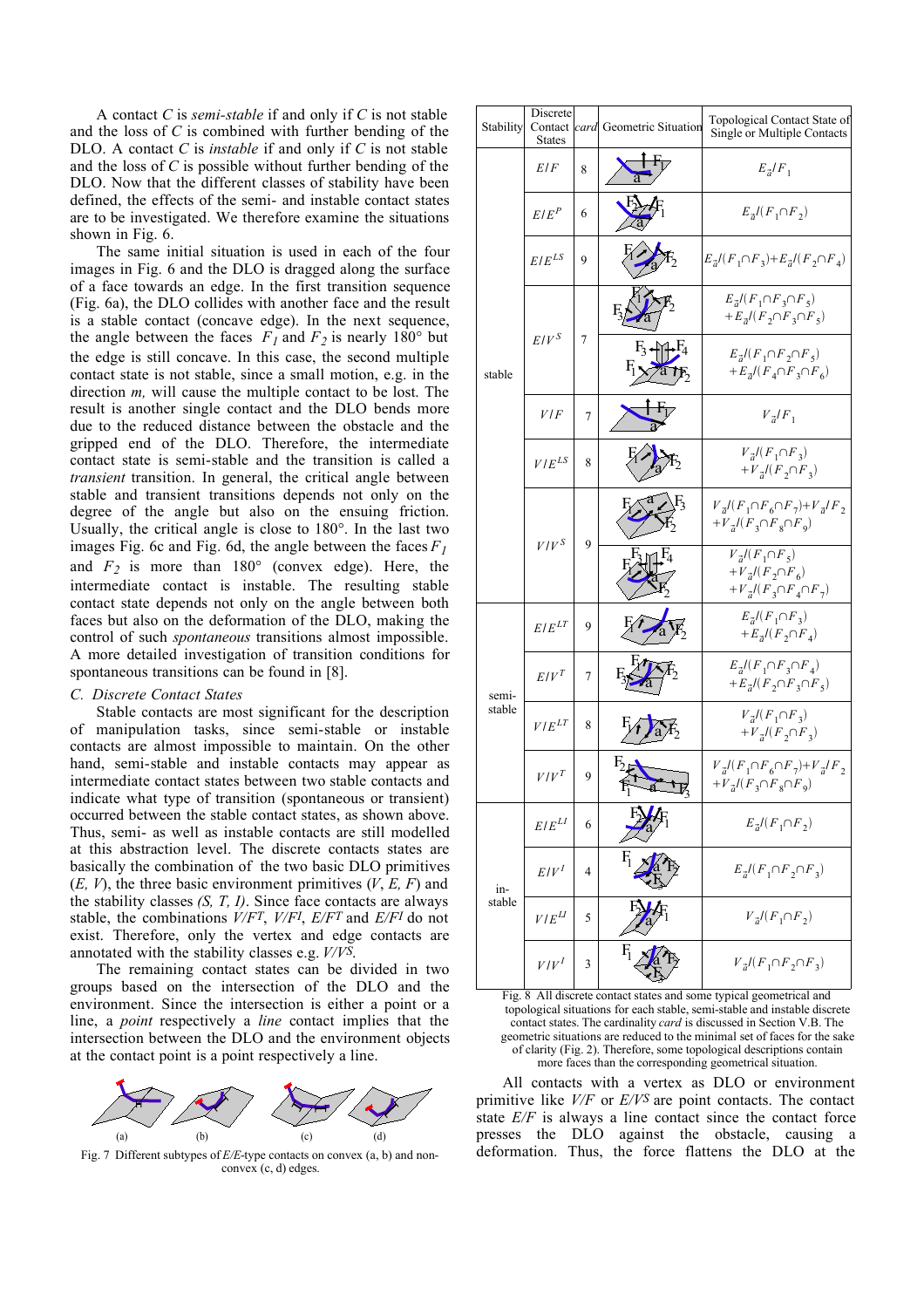A contact *C* is *semi-stable* if and only if *C* is not stable and the loss of *C* is combined with further bending of the DLO. A contact *C* is *instable* if and only if *C* is not stable and the loss of *C* is possible without further bending of the DLO. Now that the different classes of stability have been defined, the effects of the semi- and instable contact states are to be investigated. We therefore examine the situations shown in Fig. 6.

The same initial situation is used in each of the four images in Fig. 6 and the DLO is dragged along the surface of a face towards an edge. In the first transition sequence (Fig. 6a), the DLO collides with another face and the result is a stable contact (concave edge). In the next sequence, the angle between the faces  $F_I$  and  $F_2$  is nearly 180° but the edge is still concave. In this case, the second multiple contact state is not stable, since a small motion, e.g. in the direction *m,* will cause the multiple contact to be lost. The result is another single contact and the DLO bends more due to the reduced distance between the obstacle and the gripped end of the DLO. Therefore, the intermediate contact state is semi-stable and the transition is called a *transient* transition. In general, the critical angle between stable and transient transitions depends not only on the degree of the angle but also on the ensuing friction. Usually, the critical angle is close to 180°. In the last two images Fig. 6c and Fig. 6d, the angle between the faces  $F_I$ and  $F_2$  is more than  $180^\circ$  (convex edge). Here, the intermediate contact is instable. The resulting stable contact state depends not only on the angle between both faces but also on the deformation of the DLO, making the control of such *spontaneous* transitions almost impossible. A more detailed investigation of transition conditions for spontaneous transitions can be found in [8].

# *C. Discrete Contact States*

Stable contacts are most significant for the description of manipulation tasks, since semi-stable or instable contacts are almost impossible to maintain. On the other hand, semi-stable and instable contacts may appear as intermediate contact states between two stable contacts and indicate what type of transition (spontaneous or transient) occurred between the stable contact states, as shown above. Thus, semi- as well as instable contacts are still modelled at this abstraction level. The discrete contacts states are basically the combination of the two basic DLO primitives (*E, V*), the three basic environment primitives (*V*, *E, F*) and the stability classes *(S, T, I)*. Since face contacts are always stable, the combinations *V/FT*, *V/FI*, *E/FT* and *E/FI* do not exist. Therefore, only the vertex and edge contacts are annotated with the stability classes e.g. *V/VS*.

The remaining contact states can be divided in two groups based on the intersection of the DLO and the environment. Since the intersection is either a point or a line, a *point* respectively a *line* contact implies that the intersection between the DLO and the environment objects at the contact point is a point respectively a line.



Fig. 7 Different subtypes of *E/E*-type contacts on convex (a, b) and nonconvex (c, d) edges.

|  | Stability       | Discrete<br>Contact<br>States             |   | card Geometric Situation | Topological Contact State of<br>Single or Multiple Contacts                                                                            |  |  |  |
|--|-----------------|-------------------------------------------|---|--------------------------|----------------------------------------------------------------------------------------------------------------------------------------|--|--|--|
|  | stable          | E/F                                       | 8 |                          | $E_{\vec{a}}/F_{1}$                                                                                                                    |  |  |  |
|  |                 | $E/E^P$                                   | 6 |                          | $E_{\vec{a}}/(F_1 \cap F_2)$                                                                                                           |  |  |  |
|  |                 | $E/E^{LS}$                                | 9 |                          | $E_{\vec{a}}/(F_1 \cap F_3) + E_{\vec{a}}/(F_2 \cap F_4)$                                                                              |  |  |  |
|  |                 |                                           | 7 |                          | $E_{\vec{a}}/(F_1 \cap F_3 \cap F_5)$<br>$+E_{\vec{a}}/(F_2 \cap F_3 \cap F_5)$                                                        |  |  |  |
|  |                 | $E/V^S$                                   |   |                          | $E_{\vec{a}}/(F_1 \cap F_2 \cap F_5)$<br>$+E_{\vec{a}}/(F_4\cap F_3\cap F_6)$                                                          |  |  |  |
|  |                 | V/F                                       | 7 |                          | $V_{\vec{a}}/F_1$                                                                                                                      |  |  |  |
|  |                 | $V/E^{LS}$                                | 8 |                          | $V_{\vec{a}}/(F_1 \cap F_3)$<br>+ $V_{\vec{a}}/(F_2 \cap F_3)$                                                                         |  |  |  |
|  |                 |                                           |   |                          | $V_{\vec{a}}/(F_1 \cap F_6 \cap F_7) + V_{\vec{a}}/F_2$<br>$+V_{\vec{a}}/(F_{3}\cap F_{8}\cap F_{9})$                                  |  |  |  |
|  |                 | $V/V^S$                                   | 9 |                          | $\overline{V}_{\vec{a}}/(F_1 \cap F_5)$<br>+ $V_{\vec{a}}/(F_{\gamma} \cap F_{\vec{b}})$<br>$+V_{\vec{a}}/(F_{3}\cap F_{4}\cap F_{7})$ |  |  |  |
|  | semi-<br>stable | $E/E^{LT}$                                | 9 |                          | $E_{\vec{a}}/(F_1 \cap F_3)$<br>$+E_{\vec{a}}/(F_2 \cap F_4)$                                                                          |  |  |  |
|  |                 | $E/V^T$                                   | 7 |                          | $E_{\vec{a}}/(F_1 \cap F_3 \cap F_4)$<br>+ $E_{\vec{a}}/(F_{2} \cap F_{3} \cap F_{5})$                                                 |  |  |  |
|  |                 | $V/E^{LT}$                                | 8 |                          | $V_{\vec{a}}/(F_1 \cap F_3)$<br>+ $V_{\vec{a}}/(F_{\gamma} \cap F_{\gamma})$                                                           |  |  |  |
|  |                 | $V \hspace{-0.1cm} / \hspace{-0.1cm} V^T$ | 9 |                          | $V_{\vec{a}}/(F_1 \cap F_6 \cap F_7) + V_{\vec{a}}/F_2$<br>+ $V_{\vec{a}}/(F_{\vec{a}} \cap F_{\vec{g}} \cap F_{\vec{g}})$             |  |  |  |
|  | in-<br>stable   | $E/E^{LI}$                                | 6 |                          | $E_{\vec{a}}/(F_1 \cap F_2)$                                                                                                           |  |  |  |
|  |                 | $E/V^I$                                   | 4 |                          | $E_{\vec{a}}/(F_1 \cap F_2 \cap F_3)$                                                                                                  |  |  |  |
|  |                 | $V/E^{LI}$                                | 5 |                          | $V_{\vec{a}}/(F_1 \cap F_2)$                                                                                                           |  |  |  |
|  |                 | $V/V^I$                                   | 3 | $F_1$                    | $V_{\vec{a}}/(F_1 \cap F_2 \cap F_3)$                                                                                                  |  |  |  |

Fig. 8 All discrete contact states and some typical geometrical and topological situations for each stable, semi-stable and instable discrete contact states. The cardinality *card* is discussed in Section V.B. The geometric situations are reduced to the minimal set of faces for the sake of clarity (Fig. 2). Therefore, some topological descriptions contain more faces than the corresponding geometrical situation.

All contacts with a vertex as DLO or environment primitive like *V/F* or *E/VS* are point contacts. The contact state  $E/F$  is always a line contact since the contact force presses the DLO against the obstacle, causing a deformation. Thus, the force flattens the DLO at the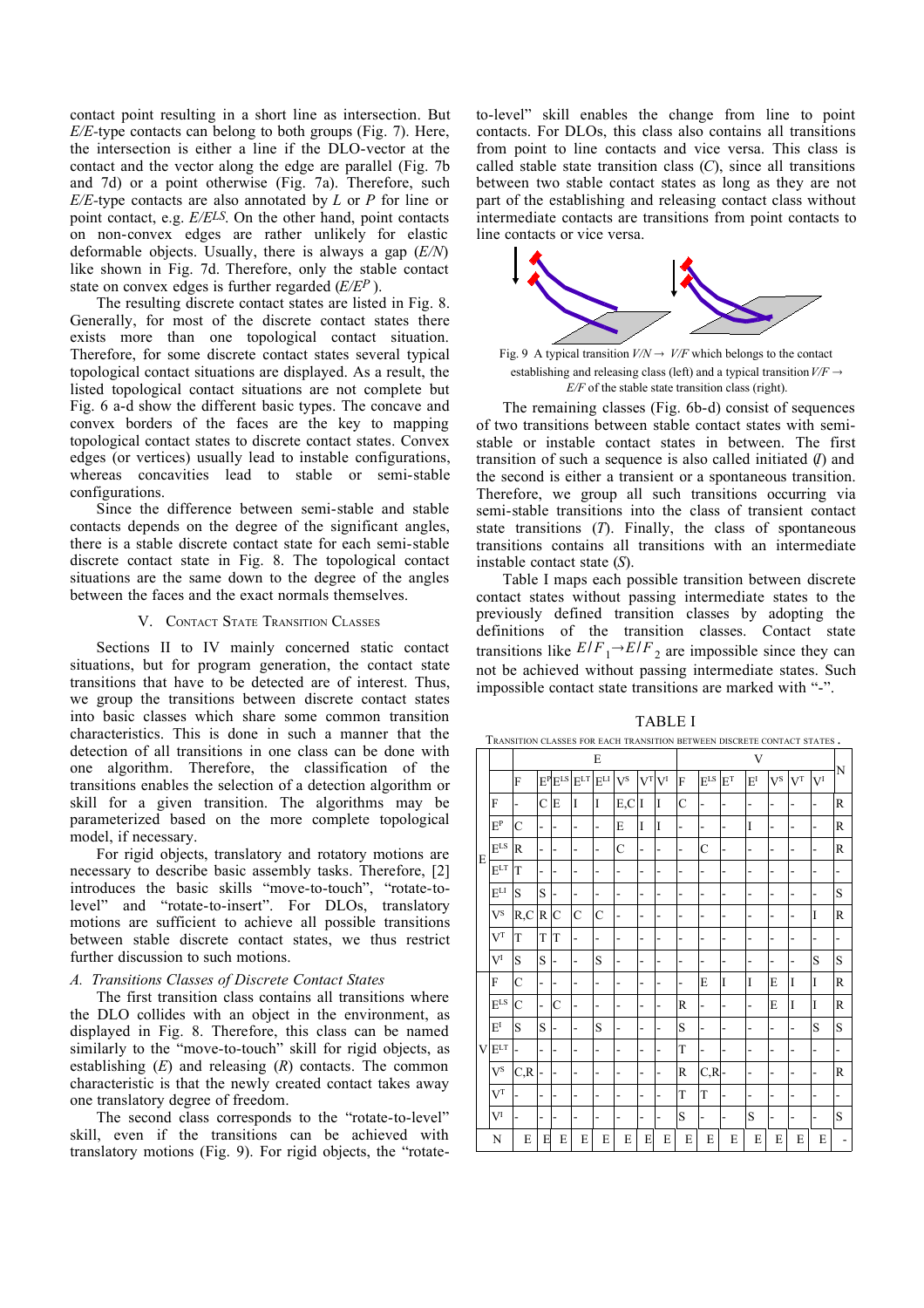contact point resulting in a short line as intersection. But *E/E-*type contacts can belong to both groups (Fig. 7). Here, the intersection is either a line if the DLO-vector at the contact and the vector along the edge are parallel (Fig. 7b and 7d) or a point otherwise (Fig. 7a). Therefore, such *E/E-*type contacts are also annotated by *L* or *P* for line or point contact, e.g. *E/ELS*. On the other hand, point contacts on non-convex edges are rather unlikely for elastic deformable objects. Usually, there is always a gap (*E/N*) like shown in Fig. 7d. Therefore, only the stable contact state on convex edges is further regarded (*E/EP* ).

The resulting discrete contact states are listed in Fig. 8. Generally, for most of the discrete contact states there exists more than one topological contact situation. Therefore, for some discrete contact states several typical topological contact situations are displayed. As a result, the listed topological contact situations are not complete but Fig. 6 a-d show the different basic types. The concave and convex borders of the faces are the key to mapping topological contact states to discrete contact states. Convex edges (or vertices) usually lead to instable configurations, whereas concavities lead to stable or semi-stable configurations.

Since the difference between semi-stable and stable contacts depends on the degree of the significant angles, there is a stable discrete contact state for each semi-stable discrete contact state in Fig. 8. The topological contact situations are the same down to the degree of the angles between the faces and the exact normals themselves.

## V. CONTACT STATE TRANSITION CLASSES

Sections II to IV mainly concerned static contact situations, but for program generation, the contact state transitions that have to be detected are of interest. Thus, we group the transitions between discrete contact states into basic classes which share some common transition characteristics. This is done in such a manner that the detection of all transitions in one class can be done with one algorithm. Therefore, the classification of the transitions enables the selection of a detection algorithm or skill for a given transition. The algorithms may be parameterized based on the more complete topological model, if necessary.

For rigid objects, translatory and rotatory motions are necessary to describe basic assembly tasks. Therefore, [2] introduces the basic skills "move-to-touch", "rotate-tolevel" and "rotate-to-insert". For DLOs, translatory motions are sufficient to achieve all possible transitions between stable discrete contact states, we thus restrict further discussion to such motions.

# *A. Transitions Classes of Discrete Contact States*

The first transition class contains all transitions where the DLO collides with an object in the environment, as displayed in Fig. 8. Therefore, this class can be named similarly to the "move-to-touch" skill for rigid objects, as establishing (*E*) and releasing (*R*) contacts. The common characteristic is that the newly created contact takes away one translatory degree of freedom.

The second class corresponds to the "rotate-to-level" skill, even if the transitions can be achieved with translatory motions (Fig. 9). For rigid objects, the "rotateto-level" skill enables the change from line to point contacts. For DLOs, this class also contains all transitions from point to line contacts and vice versa. This class is called stable state transition class (*C*), since all transitions between two stable contact states as long as they are not part of the establishing and releasing contact class without intermediate contacts are transitions from point contacts to line contacts or vice versa.



Fig. 9 A typical transition  $V/N \rightarrow V/F$  which belongs to the contact establishing and releasing class (left) and a typical transition  $V/F \rightarrow$ *E/F* of the stable state transition class (right).

The remaining classes (Fig. 6b-d) consist of sequences of two transitions between stable contact states with semistable or instable contact states in between. The first transition of such a sequence is also called initiated (*I*) and the second is either a transient or a spontaneous transition. Therefore, we group all such transitions occurring via semi-stable transitions into the class of transient contact state transitions (*T*). Finally, the class of spontaneous transitions contains all transitions with an intermediate instable contact state (*S*).

Table I maps each possible transition between discrete contact states without passing intermediate states to the previously defined transition classes by adopting the definitions of the transition classes. Contact state transitions like  $E/F_1 \rightarrow E/F_2$  are impossible since they can not be achieved without passing intermediate states. Such impossible contact state transitions are marked with "-".

|   | TRANSITION CLASSES FOR EACH TRANSITION BETWEEN DISCRETE CONTACT STATES . |               |                |                   |   |                 |                |                |                   |               |          |                |                |             |         |                |   |
|---|--------------------------------------------------------------------------|---------------|----------------|-------------------|---|-----------------|----------------|----------------|-------------------|---------------|----------|----------------|----------------|-------------|---------|----------------|---|
| E |                                                                          | E             |                |                   |   |                 |                |                | V                 |               |          |                |                |             |         |                |   |
|   |                                                                          | F             | $E^P$          | $E^{LS}$ $E^{LT}$ |   | E <sub>TI</sub> | $V^{\rm S}$    | V <sup>T</sup> | ${\rm V}^{\rm I}$ | F             | $E^{LS}$ | $E^{T}$        | $E^{I}$        | $V^{\rm S}$ | $V^{T}$ | $V^I$          | N |
|   | F                                                                        |               | Ċ              | E                 | I | I               | E,C            | I              | I                 | $\mathcal{C}$ | -        | -              | -              | -           |         |                | R |
|   | $E^P$                                                                    | $\mathcal{C}$ | -              |                   |   | -               | E              | I              | I                 | -             | -        | -              | I              | -           |         | -              | R |
|   | $E^{LS}$                                                                 | R             | -              |                   |   | -               | $\mathcal{C}$  | -              | -                 | -             | C        | -              | -              | -           |         | ۰              | R |
|   | E <sup>LT</sup>                                                          | T             | -              |                   |   | -               |                | -              | -                 | -             | -        | -              | -              | -           |         | ۰              |   |
|   | $E^{LI}$                                                                 | S             | S              |                   |   | -               |                | -              |                   | -             | -        | -              | -              | -           |         | ۰              | S |
|   | $\mathbf{V}^\mathbf{S}$                                                  | R,C           | R              | $\mathcal{C}$     | Ċ | C               | -              | -              |                   | -             | -        | -              | -              | -           | -       | I              | R |
|   | $V^{\text{T}}$                                                           | T             | T              | T                 |   | -               |                | -              |                   | -             | -        | -              | -              | -           |         |                |   |
|   | $\mathbf{V}^{\text{I}}$                                                  | S             | S              |                   |   | S               |                | -              | ۰                 | -             | -        | -              | -              | -           | -       | S              | S |
|   | F                                                                        | C             | -              |                   |   | -               | -              | -              | ۰                 | -             | E        | I              | I              | E           | I       | T              | R |
|   | $E^{LS}$                                                                 | $\mathcal{C}$ | $\overline{a}$ | C                 |   | -               | -              | -              | -                 | R             | -        | ۰              | $\overline{a}$ | E           | I       | I              | R |
|   | $\mathrm{E}^{\mathrm{I}}$                                                | S             | S              |                   | - | S               | -              | -              |                   | S             | -        | -              | -              | -           | -       | S              | S |
| V | $\mathbf{E}^{\rm LT}$                                                    |               | -              |                   |   | -               | -              | -              |                   | T             | -        |                | -              | -           |         |                |   |
|   | $\mathbf{V}^\mathbf{S}$                                                  | C, R          | -              |                   | - | -               | $\overline{a}$ | -              |                   | R             | $C, R$ - |                | -              | -           |         | $\overline{a}$ | R |
|   | $V^T$                                                                    |               | -              |                   |   | -               | $\overline{a}$ | -              |                   | T             | T        | ۰              | -              | -           |         | ٠              |   |
|   | $V^I$                                                                    |               | -              |                   |   | -               | -              |                |                   | S             | -        | $\overline{a}$ | S              | -           |         | -              | S |
|   | N                                                                        | E             | E              | E                 | E | E               | E              | E              | E                 | E             | E        | E              | E              | E           | E       | E              |   |

TABLE I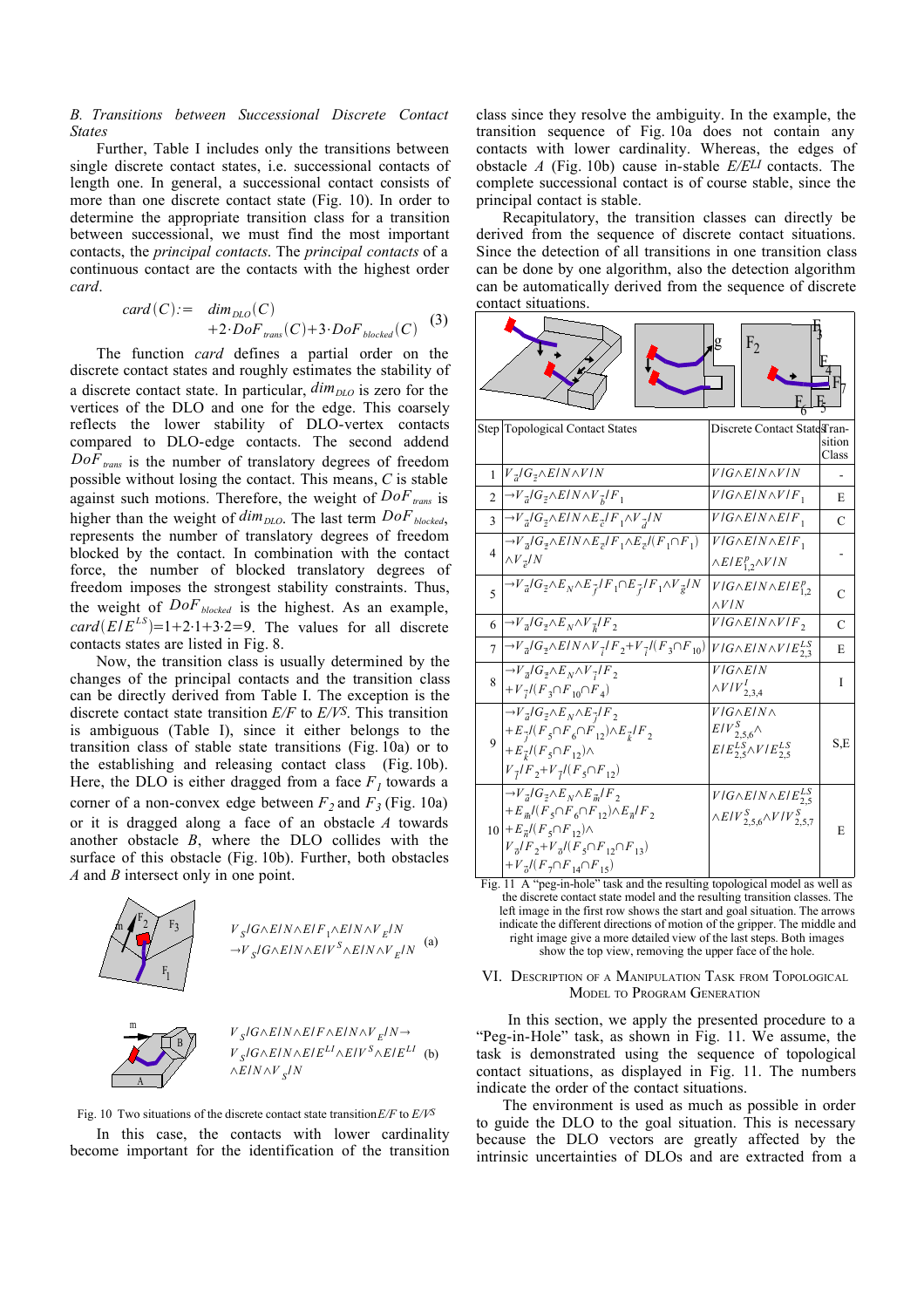# *B. Transitions between Successional Discrete Contact States*

Further, Table I includes only the transitions between single discrete contact states, i.e. successional contacts of length one. In general, a successional contact consists of more than one discrete contact state (Fig. 10). In order to determine the appropriate transition class for a transition between successional, we must find the most important contacts, the *principal contacts*. The *principal contacts* of a continuous contact are the contacts with the highest order *card*.

$$
card(C) := dim_{DLO}(C)
$$
  
+2 $\cdot DoF_{trans}(C)$ +3 $\cdot DoF_{block(C)$  (3)

The function *card* defines a partial order on the discrete contact states and roughly estimates the stability of a discrete contact state. In particular,  $dim_{DLO}$  is zero for the vertices of the DLO and one for the edge. This coarsely reflects the lower stability of DLO-vertex contacts compared to DLO-edge contacts. The second addend *DoFtrans* is the number of translatory degrees of freedom possible without losing the contact. This means, *C* is stable against such motions. Therefore, the weight of *DoFtrans* is higher than the weight of  $dim_{DLO}$ . The last term  $DoF_{blocked}$ , represents the number of translatory degrees of freedom blocked by the contact. In combination with the contact force, the number of blocked translatory degrees of freedom imposes the strongest stability constraints. Thus, the weight of *DoFblocked* is the highest. As an example,  $card(E/E^{LS}) = 1 + 2 \cdot 1 + 3 \cdot 2 = 9$ . The values for all discrete contacts states are listed in Fig. 8.

Now, the transition class is usually determined by the changes of the principal contacts and the transition class can be directly derived from Table I. The exception is the discrete contact state transition *E/F* to *E/VS*. This transition is ambiguous (Table I), since it either belongs to the transition class of stable state transitions (Fig. 10a) or to the establishing and releasing contact class (Fig. 10b). Here, the DLO is either dragged from a face  $F_I$  towards a corner of a non-convex edge between  $F_2$  and  $F_3$  (Fig. 10a) or it is dragged along a face of an obstacle *A* towards another obstacle *B*, where the DLO collides with the surface of this obstacle (Fig. 10b). Further, both obstacles *A* and *B* intersect only in one point.



Fig. 10 Two situations of the discrete contact state transition *E/F* to *E/VS*

In this case, the contacts with lower cardinality become important for the identification of the transition class since they resolve the ambiguity. In the example, the transition sequence of Fig. 10a does not contain any contacts with lower cardinality. Whereas, the edges of obstacle *A* (Fig. 10b) cause in-stable *E/ELI* contacts. The complete successional contact is of course stable, since the principal contact is stable.

Recapitulatory, the transition classes can directly be derived from the sequence of discrete contact situations. Since the detection of all transitions in one transition class can be done by one algorithm, also the detection algorithm can be automatically derived from the sequence of discrete contact situations.

|                | Step Topological Contact States                                                                                                                                                                                                                                                                                            | Discrete Contact StateSTran-                                                                      | sition<br>Class |
|----------------|----------------------------------------------------------------------------------------------------------------------------------------------------------------------------------------------------------------------------------------------------------------------------------------------------------------------------|---------------------------------------------------------------------------------------------------|-----------------|
| $\mathbf{1}$   | $V_{\vec{a}}/G_{\vec{r}} \wedge E/N \wedge V/N$                                                                                                                                                                                                                                                                            | $V/G \wedge E/N \wedge V/N$                                                                       |                 |
|                | $2\left \rightarrow V_{\vec{a}}/G_{\vec{z}}\wedge E/N\wedge V_{\vec{b}}/F_{1}\right $                                                                                                                                                                                                                                      | $V/G \wedge E/N \wedge V/F_1$                                                                     | E               |
|                | $3 \left  \rightarrow V_{\vec{a}} / G_{\vec{z}} \wedge E / N \wedge E_{\vec{c}} / F_{1} \wedge V_{\vec{a}} / N \right $                                                                                                                                                                                                    | $V/G \wedge E/N \wedge E/F_1$                                                                     | C               |
| $\overline{4}$ | $\rightarrow V_{\vec{a}}/G_{\vec{z}} \wedge E/N \wedge E_{\vec{c}}/F_1 \wedge E_{\vec{c}}/(F_1 \cap F_1)$<br>$\wedge V_z/N$                                                                                                                                                                                                | $V/G \wedge E/N \wedge E/F_1$<br>$\wedge E/E_{1,2}^p \wedge V/N$                                  |                 |
| $\overline{5}$ | $\rightarrow V_{\vec{a}}/G_{\vec{z}} \wedge E_{N} \wedge E_{\vec{f}}/F_{1} \cap E_{\vec{f}}/F_{1} \wedge V_{\vec{g}}/N$                                                                                                                                                                                                    | $V/G \wedge E/N \wedge E/E_{12}^p$<br>$\wedge$ V/N                                                | C               |
|                | $6\left \rightarrow V_{\vec{a}}/G_{\vec{z}} \wedge E_{N} \wedge V_{\vec{h}}/F_{2}\right $                                                                                                                                                                                                                                  | $V/G \wedge E/N \wedge V/F$ ,                                                                     | C               |
|                | $7\left \rightarrow V_{\vec{a}}/G_{\vec{z}}\wedge E/N\wedge V_{\vec{z}}/F_{\vec{z}}+V_{\vec{z}}/(F_{\vec{z}}\cap F_{10})\right $                                                                                                                                                                                           | $V/G \wedge E/N \wedge V/E_{2,3}^{LS}$                                                            | E               |
| 8              | $\rightarrow V_{\vec{a}}/G_{\vec{z}} \wedge E_{N} \wedge V_{\vec{z}}/F_{\gamma}$<br>$+V_{7}/(F_{3}\cap F_{10}\cap F_{4})$                                                                                                                                                                                                  | $V/G\wedge E/N$<br>$\wedge V/V_{2,3,4}^I$                                                         | I               |
|                | $\rightarrow V_{\vec{a}}/G_{\vec{z}} \wedge E_{N} \wedge E_{\vec{i}}/F_{2}$<br>9 $+E_{7}/(F_{5}\cap F_{6}\cap F_{12})\wedge E_{\vec{k}}/F_{2}$<br>$+E_{\vec{k}}/(F_5 \cap F_{12}) \wedge$<br>$V_{7}/F_{2}+V_{7}/(F_{5}\cap F_{12})$                                                                                        | $V/G \wedge E/N \wedge$<br>$E/V_{2,5,6}^S \wedge$<br>$E/E_{2,5}^{LS} \wedge V/E_{2,5}^{LS}$       | S,E             |
|                | $\rightarrow V_d/G_{\overline{z}} \wedge E_{N} \wedge E_{\overline{m}}/F_{\overline{z}}$<br>$+E_{\vec{m}}/(F_{5}\cap F_{6}\cap F_{12})\wedge E_{\vec{n}}/F_{2}$<br>$10 + E_{\pi}/(F_{5} \cap F_{12})$<br>$V_{\vec{a}}/F_2+V_{\vec{a}}/(F_5\cap F_{12}\cap F_{13})$<br>$+V_{\vec{o}}/(F_{\vec{q}} \cap F_{14} \cap F_{15})$ | $V$  G $\wedge$ E N $\wedge$ E E $^{LS}_{2.5}$<br>$\wedge E/V_{2,5,6}^{S} \wedge V/V_{2,5,7}^{S}$ | E               |

Fig. 11 A "peg-in-hole" task and the resulting topological model as well as the discrete contact state model and the resulting transition classes. The left image in the first row shows the start and goal situation. The arrows indicate the different directions of motion of the gripper. The middle and right image give a more detailed view of the last steps. Both images show the top view, removing the upper face of the hole.

## VI. DESCRIPTION OF <sup>A</sup> MANIPULATION TASK FROM TOPOLOGICAL MODEL TO PROGRAM GENERATION

In this section, we apply the presented procedure to a "Peg-in-Hole" task, as shown in Fig. 11. We assume, the task is demonstrated using the sequence of topological contact situations, as displayed in Fig. 11. The numbers indicate the order of the contact situations.

The environment is used as much as possible in order to guide the DLO to the goal situation. This is necessary because the DLO vectors are greatly affected by the intrinsic uncertainties of DLOs and are extracted from a